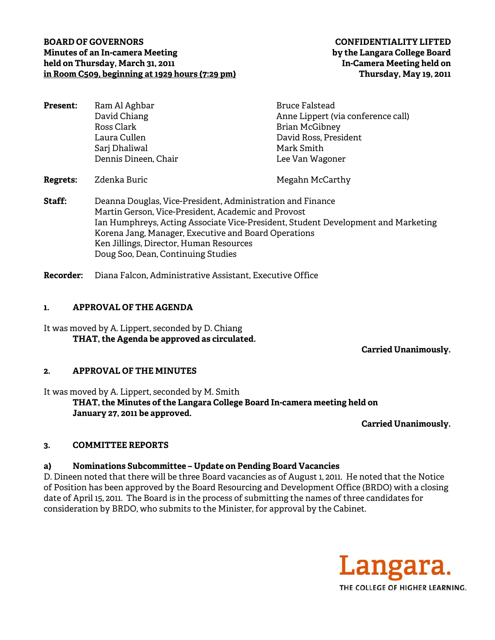#### **BOARD OF GOVERNORS CONFIDENTIALITY LIFTED Minutes of an In-camera Meeting by the Langara College Board held on Thursday, March 31, 2011 In-Camera Meeting held on in Room C509, beginning at 1929 hours (7:29 pm) Thursday, May 19, 2011**

| <b>Present:</b> | Ram Al Aghbar                                              | <b>Bruce Falstead</b>              |
|-----------------|------------------------------------------------------------|------------------------------------|
|                 | David Chiang                                               | Anne Lippert (via conference call) |
|                 | Ross Clark                                                 | <b>Brian McGibney</b>              |
|                 | Laura Cullen                                               | David Ross, President              |
|                 | Sarj Dhaliwal                                              | Mark Smith                         |
|                 | Dennis Dineen, Chair                                       | Lee Van Wagoner                    |
| <b>Regrets:</b> | Zdenka Buric                                               | Megahn McCarthy                    |
| Staff:          | Deanna Douglas, Vice-President, Administration and Finance |                                    |

Martin Gerson, Vice-President, Academic and Provost Ian Humphreys, Acting Associate Vice-President, Student Development and Marketing Korena Jang, Manager, Executive and Board Operations Ken Jillings, Director, Human Resources Doug Soo, Dean, Continuing Studies

**Recorder:** Diana Falcon, Administrative Assistant, Executive Office

# **1. APPROVAL OF THE AGENDA**

It was moved by A. Lippert, seconded by D. Chiang **THAT, the Agenda be approved as circulated.** 

 **Carried Unanimously.** 

# **2. APPROVAL OF THE MINUTES**

It was moved by A. Lippert, seconded by M. Smith **THAT, the Minutes of the Langara College Board In-camera meeting held on January 27, 2011 be approved.** 

**Carried Unanimously.** 

# **3. COMMITTEE REPORTS**

# **a) Nominations Subcommittee – Update on Pending Board Vacancies**

D. Dineen noted that there will be three Board vacancies as of August 1, 2011. He noted that the Notice of Position has been approved by the Board Resourcing and Development Office (BRDO) with a closing date of April 15, 2011. The Board is in the process of submitting the names of three candidates for consideration by BRDO, who submits to the Minister, for approval by the Cabinet.